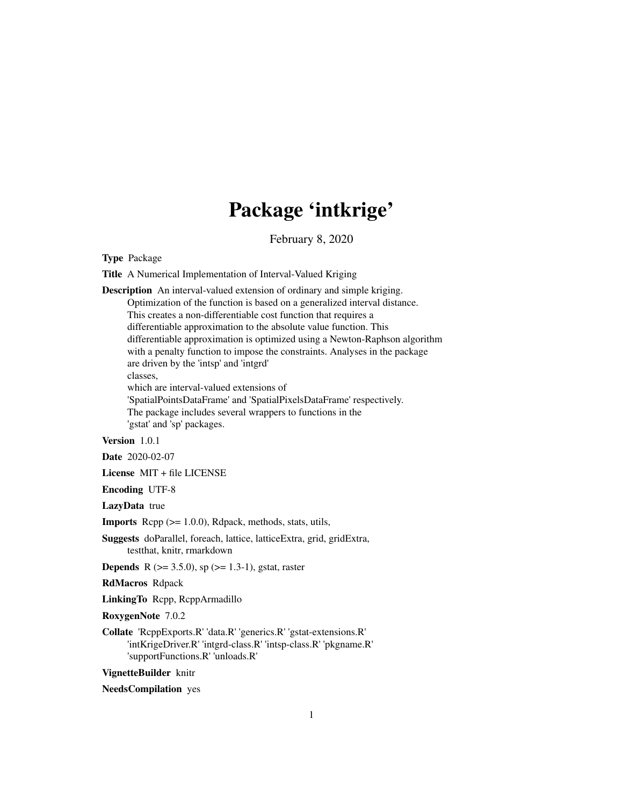# Package 'intkrige'

February 8, 2020

<span id="page-0-0"></span>Type Package

Title A Numerical Implementation of Interval-Valued Kriging

Description An interval-valued extension of ordinary and simple kriging. Optimization of the function is based on a generalized interval distance. This creates a non-differentiable cost function that requires a differentiable approximation to the absolute value function. This differentiable approximation is optimized using a Newton-Raphson algorithm with a penalty function to impose the constraints. Analyses in the package are driven by the 'intsp' and 'intgrd' classes, which are interval-valued extensions of 'SpatialPointsDataFrame' and 'SpatialPixelsDataFrame' respectively. The package includes several wrappers to functions in the 'gstat' and 'sp' packages.

Version 1.0.1

Date 2020-02-07

License MIT + file LICENSE

Encoding UTF-8

LazyData true

**Imports** Rcpp  $(>= 1.0.0)$ , Rdpack, methods, stats, utils,

Suggests doParallel, foreach, lattice, latticeExtra, grid, gridExtra, testthat, knitr, rmarkdown

**Depends** R ( $>= 3.5.0$ ), sp ( $>= 1.3-1$ ), gstat, raster

RdMacros Rdpack

LinkingTo Rcpp, RcppArmadillo

RoxygenNote 7.0.2

Collate 'RcppExports.R' 'data.R' 'generics.R' 'gstat-extensions.R' 'intKrigeDriver.R' 'intgrd-class.R' 'intsp-class.R' 'pkgname.R' 'supportFunctions.R' 'unloads.R'

VignetteBuilder knitr

NeedsCompilation yes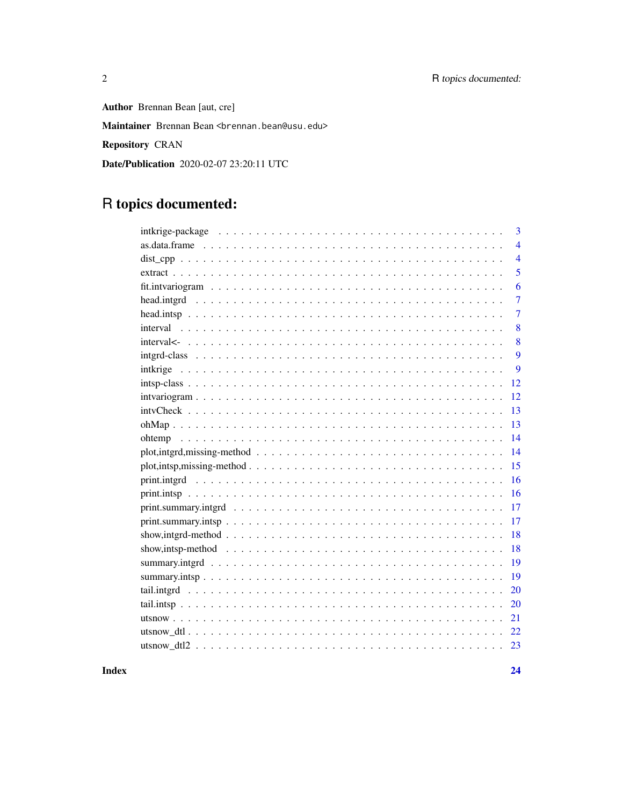Author Brennan Bean [aut, cre] Maintainer Brennan Bean <br ennan.bean@usu.edu> Repository CRAN Date/Publication 2020-02-07 23:20:11 UTC

# R topics documented:

| 3                                                                                                                                                      |
|--------------------------------------------------------------------------------------------------------------------------------------------------------|
| $\overline{4}$                                                                                                                                         |
| $\overline{4}$                                                                                                                                         |
| 5                                                                                                                                                      |
| 6                                                                                                                                                      |
| $\overline{7}$                                                                                                                                         |
| $\overline{7}$                                                                                                                                         |
| 8                                                                                                                                                      |
| 8                                                                                                                                                      |
| 9                                                                                                                                                      |
| 9<br>intkrige                                                                                                                                          |
| 12                                                                                                                                                     |
| 12                                                                                                                                                     |
| 13                                                                                                                                                     |
| 13                                                                                                                                                     |
| 14                                                                                                                                                     |
| 14                                                                                                                                                     |
| 15                                                                                                                                                     |
| 16                                                                                                                                                     |
| 16                                                                                                                                                     |
| 17                                                                                                                                                     |
| 17<br>$print. \text{summary}.\text{intsp} \dots \dots \dots \dots \dots \dots \dots \dots \dots \dots \dots \dots \dots \dots \dots \dots \dots \dots$ |
| 18                                                                                                                                                     |
| 18                                                                                                                                                     |
| 19                                                                                                                                                     |
| 19                                                                                                                                                     |
| 20                                                                                                                                                     |
| 20                                                                                                                                                     |
| 21                                                                                                                                                     |
| 22                                                                                                                                                     |
|                                                                                                                                                        |
|                                                                                                                                                        |

 $\overline{2}$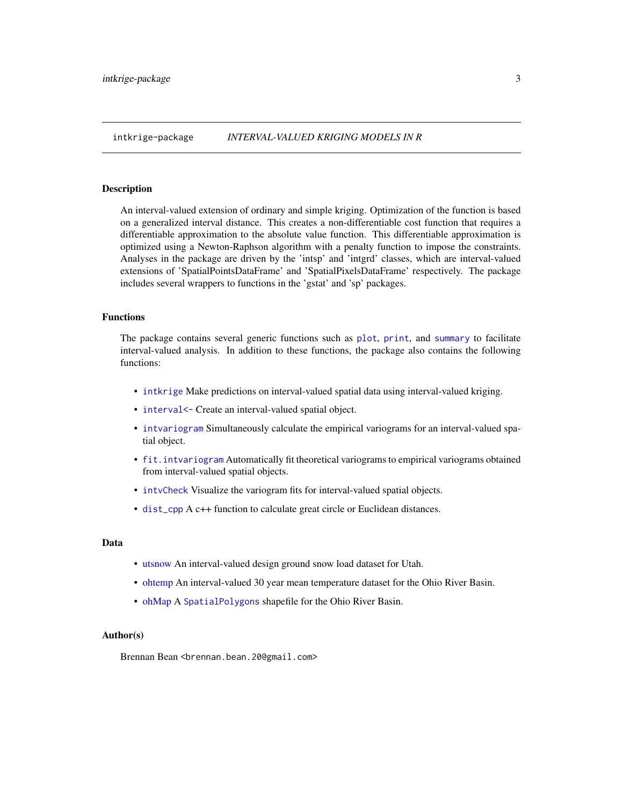<span id="page-2-0"></span>An interval-valued extension of ordinary and simple kriging. Optimization of the function is based on a generalized interval distance. This creates a non-differentiable cost function that requires a differentiable approximation to the absolute value function. This differentiable approximation is optimized using a Newton-Raphson algorithm with a penalty function to impose the constraints. Analyses in the package are driven by the 'intsp' and 'intgrd' classes, which are interval-valued extensions of 'SpatialPointsDataFrame' and 'SpatialPixelsDataFrame' respectively. The package includes several wrappers to functions in the 'gstat' and 'sp' packages.

#### Functions

The package contains several generic functions such as [plot](#page-0-0), [print](#page-15-1), and [summary](#page-18-1) to facilitate interval-valued analysis. In addition to these functions, the package also contains the following functions:

- [intkrige](#page-8-1) Make predictions on interval-valued spatial data using interval-valued kriging.
- interval <- Create an interval-valued spatial object.
- [intvariogram](#page-11-1) Simultaneously calculate the empirical variograms for an interval-valued spatial object.
- [fit.intvariogram](#page-5-1) Automatically fit theoretical variograms to empirical variograms obtained from interval-valued spatial objects.
- [intvCheck](#page-12-1) Visualize the variogram fits for interval-valued spatial objects.
- [dist\\_cpp](#page-3-1) A c++ function to calculate great circle or Euclidean distances.

#### Data

- [utsnow](#page-20-1) An interval-valued design ground snow load dataset for Utah.
- [ohtemp](#page-13-1) An interval-valued 30 year mean temperature dataset for the Ohio River Basin.
- [ohMap](#page-12-2) A [SpatialPolygons](#page-0-0) shapefile for the Ohio River Basin.

#### Author(s)

Brennan Bean <brennan.bean.20@gmail.com>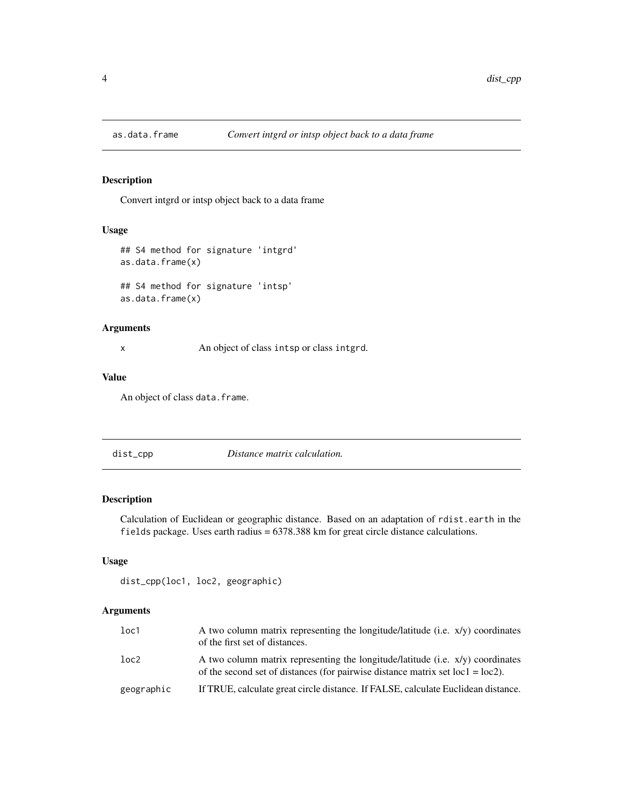<span id="page-3-0"></span>

Convert intgrd or intsp object back to a data frame

# Usage

```
## S4 method for signature 'intgrd'
as.data.frame(x)
## S4 method for signature 'intsp'
as.data.frame(x)
```
#### Arguments

x An object of class intsp or class intgrd.

# Value

An object of class data.frame.

<span id="page-3-1"></span>dist\_cpp *Distance matrix calculation.*

# Description

Calculation of Euclidean or geographic distance. Based on an adaptation of rdist.earth in the fields package. Uses earth radius = 6378.388 km for great circle distance calculations.

# Usage

```
dist_cpp(loc1, loc2, geographic)
```

| loc1       | A two column matrix representing the longitude/latitude (i.e. $x/y$ ) coordinates<br>of the first set of distances.                                                    |
|------------|------------------------------------------------------------------------------------------------------------------------------------------------------------------------|
| loc2       | A two column matrix representing the longitude/latitude (i.e. $x/y$ ) coordinates<br>of the second set of distances (for pairwise distance matrix set $loc1 = loc2$ ). |
| geographic | If TRUE, calculate great circle distance. If FALSE, calculate Euclidean distance.                                                                                      |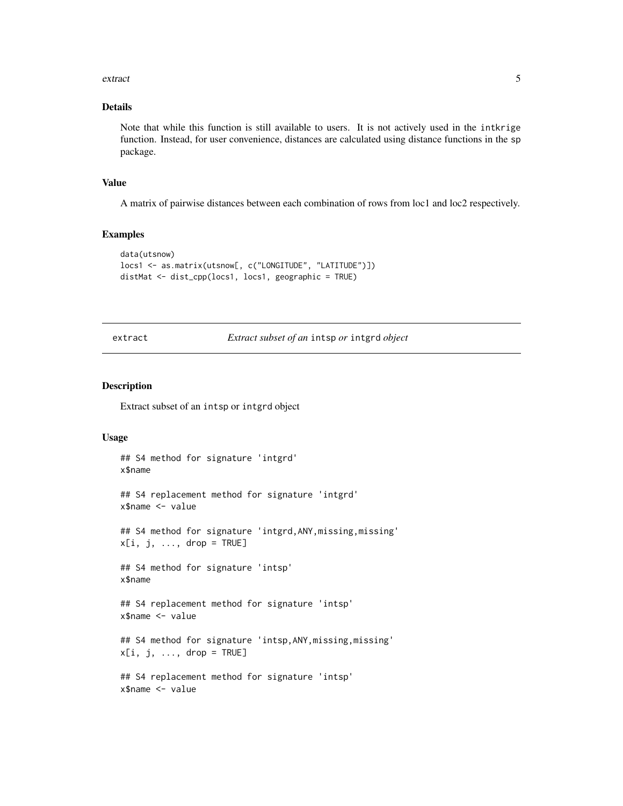#### <span id="page-4-0"></span>extract 5 and 5 and 5 and 5 and 5 and 5 and 5 and 5 and 5 and 5 and 5 and 5 and 5 and 5 and 5 and 5 and 5 and 5 and 5 and 5 and 5 and 5 and 5 and 5 and 5 and 5 and 5 and 5 and 5 and 5 and 5 and 5 and 5 and 5 and 5 and 5 an

# Details

Note that while this function is still available to users. It is not actively used in the intkrige function. Instead, for user convenience, distances are calculated using distance functions in the sp package.

#### Value

A matrix of pairwise distances between each combination of rows from loc1 and loc2 respectively.

# Examples

```
data(utsnow)
locs1 <- as.matrix(utsnow[, c("LONGITUDE", "LATITUDE")])
distMat <- dist_cpp(locs1, locs1, geographic = TRUE)
```
extract *Extract subset of an* intsp *or* intgrd *object*

#### Description

Extract subset of an intsp or intgrd object

```
## S4 method for signature 'intgrd'
x$name
## S4 replacement method for signature 'intgrd'
x$name <- value
## S4 method for signature 'intgrd,ANY,missing,missing'
x[i, j, \ldots, drop = TRUE]## S4 method for signature 'intsp'
x$name
## S4 replacement method for signature 'intsp'
x$name <- value
## S4 method for signature 'intsp, ANY, missing, missing'
x[i, j, ..., drop = TRUE]## S4 replacement method for signature 'intsp'
x$name <- value
```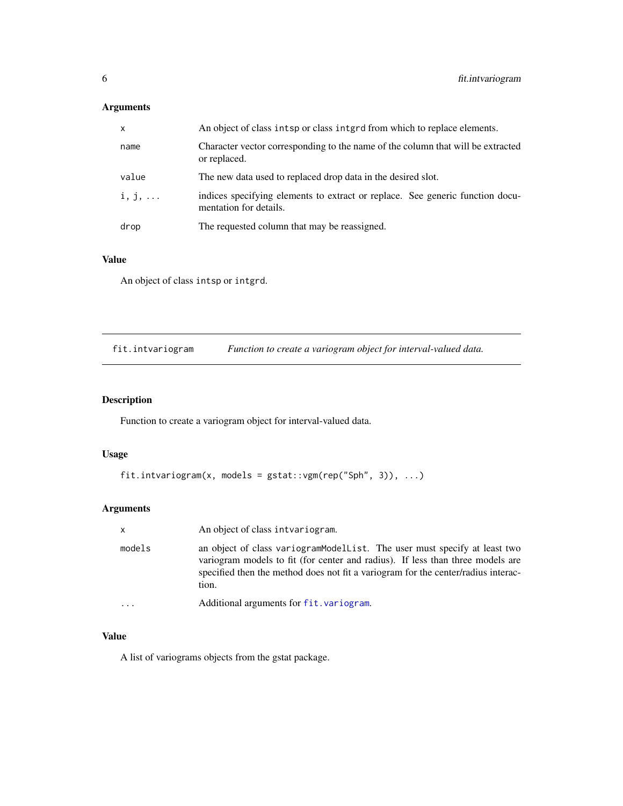<span id="page-5-0"></span>

| X              | An object of class intsp or class integral from which to replace elements.                              |  |
|----------------|---------------------------------------------------------------------------------------------------------|--|
| name           | Character vector corresponding to the name of the column that will be extracted<br>or replaced.         |  |
| value          | The new data used to replaced drop data in the desired slot.                                            |  |
| $i, j, \ldots$ | indices specifying elements to extract or replace. See generic function docu-<br>mentation for details. |  |
| drop           | The requested column that may be reassigned.                                                            |  |

# Value

An object of class intsp or intgrd.

<span id="page-5-1"></span>fit.intvariogram *Function to create a variogram object for interval-valued data.*

# Description

Function to create a variogram object for interval-valued data.

# Usage

```
fit.intvariogram(x, models = gstat::vgm(rep("Sph", 3)), ...)
```
# Arguments

| $\mathsf{x}$ | An object of class intvariogram.                                                                                                                                                                                                                          |
|--------------|-----------------------------------------------------------------------------------------------------------------------------------------------------------------------------------------------------------------------------------------------------------|
| models       | an object of class variogramModelList. The user must specify at least two<br>variogram models to fit (for center and radius). If less than three models are<br>specified then the method does not fit a variogram for the center/radius interac-<br>tion. |
|              | Additional arguments for fit. variogram.                                                                                                                                                                                                                  |

#### Value

A list of variograms objects from the gstat package.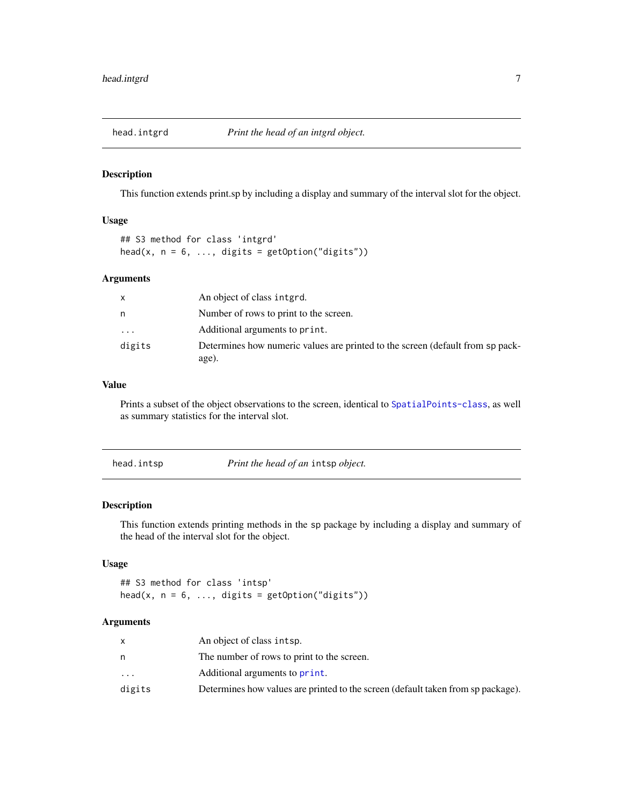<span id="page-6-0"></span>

This function extends print.sp by including a display and summary of the interval slot for the object.

#### Usage

## S3 method for class 'intgrd' head(x,  $n = 6$ , ..., digits = getOption("digits"))

#### Arguments

| X        | An object of class interd.                                                              |
|----------|-----------------------------------------------------------------------------------------|
| n        | Number of rows to print to the screen.                                                  |
| $\cdots$ | Additional arguments to print.                                                          |
| digits   | Determines how numeric values are printed to the screen (default from sp pack-<br>age). |

# Value

Prints a subset of the object observations to the screen, identical to [SpatialPoints-class](#page-0-0), as well as summary statistics for the interval slot.

| head.intsp | Print the head of an intsp object. |
|------------|------------------------------------|
|            |                                    |

# Description

This function extends printing methods in the sp package by including a display and summary of the head of the interval slot for the object.

#### Usage

## S3 method for class 'intsp' head(x,  $n = 6$ , ..., digits = getOption("digits"))

|           | An object of class intsp.                                                        |
|-----------|----------------------------------------------------------------------------------|
|           | The number of rows to print to the screen.                                       |
| $\ddotsc$ | Additional arguments to print.                                                   |
| digits    | Determines how values are printed to the screen (default taken from sp package). |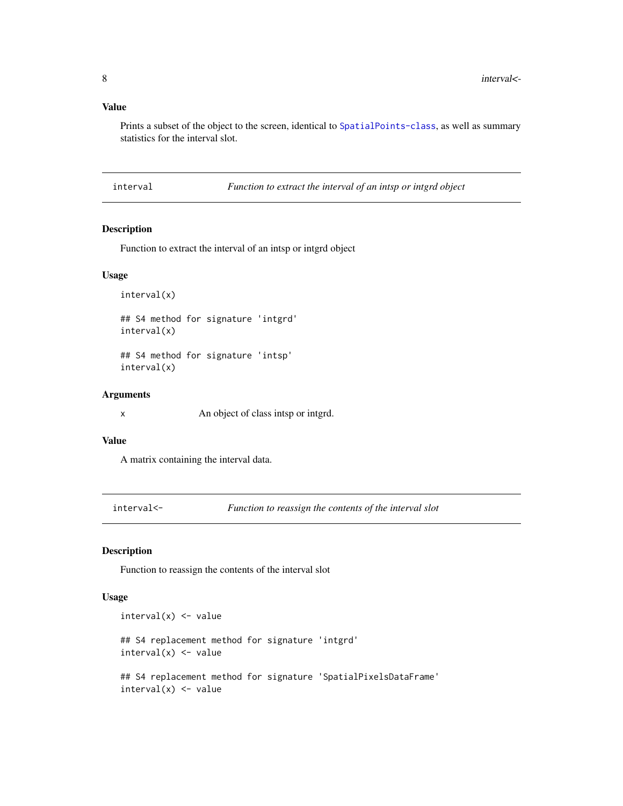# <span id="page-7-0"></span>Value

Prints a subset of the object to the screen, identical to [SpatialPoints-class](#page-0-0), as well as summary statistics for the interval slot.

interval *Function to extract the interval of an intsp or intgrd object*

# Description

Function to extract the interval of an intsp or intgrd object

# Usage

interval(x)

## S4 method for signature 'intgrd' interval(x)

## S4 method for signature 'intsp' interval(x)

# Arguments

x An object of class intsp or intgrd.

# Value

A matrix containing the interval data.

<span id="page-7-1"></span>interval<- *Function to reassign the contents of the interval slot*

#### Description

Function to reassign the contents of the interval slot

```
interval(x) <- value
## S4 replacement method for signature 'intgrd'
interval(x) <- value
## S4 replacement method for signature 'SpatialPixelsDataFrame'
interval(x) <- value
```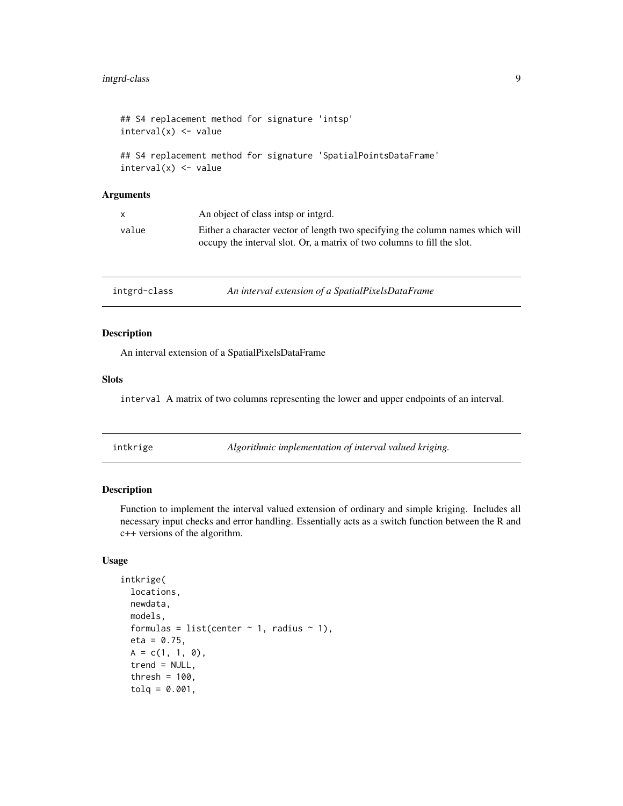```
## S4 replacement method for signature 'intsp'
interval(x) <- value
## S4 replacement method for signature 'SpatialPointsDataFrame'
interval(x) <- value
```

| $\mathsf{X}$ | An object of class intsp or interd.                                                                                                                       |
|--------------|-----------------------------------------------------------------------------------------------------------------------------------------------------------|
| value        | Either a character vector of length two specifying the column names which will<br>occupy the interval slot. Or, a matrix of two columns to fill the slot. |

intgrd-class *An interval extension of a SpatialPixelsDataFrame*

#### Description

An interval extension of a SpatialPixelsDataFrame

#### Slots

interval A matrix of two columns representing the lower and upper endpoints of an interval.

<span id="page-8-1"></span>

|  | intkrige |  |
|--|----------|--|

 $Algorithmic implementation of interval valued kriging.$ 

# Description

Function to implement the interval valued extension of ordinary and simple kriging. Includes all necessary input checks and error handling. Essentially acts as a switch function between the R and c++ versions of the algorithm.

```
intkrige(
  locations,
 newdata,
 models,
  formulas = list(center \sim 1, radius \sim 1),
 eta = 0.75,
 A = c(1, 1, 0),
  trend = NULL,thresh = 100,
  tolq = 0.001,
```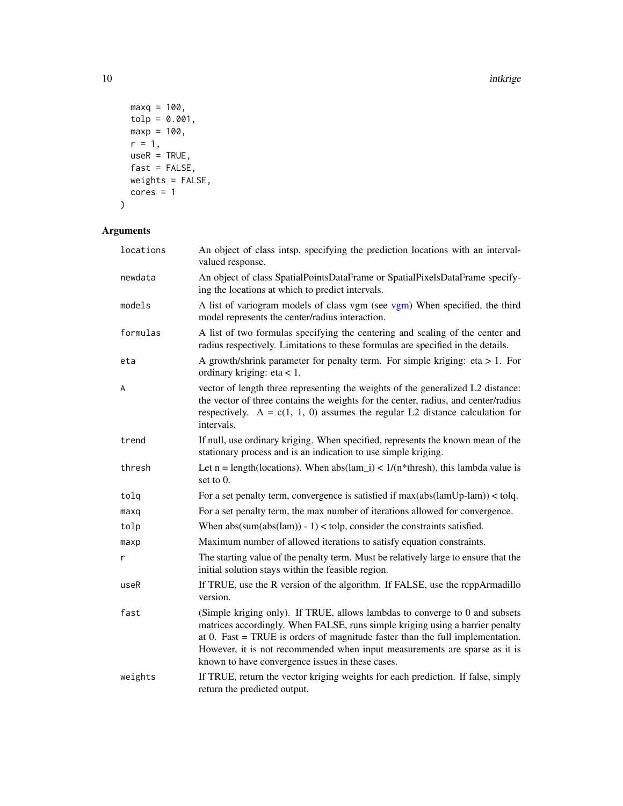10 intkrige the state of the state of the state of the state of the state of the state of the state of the state of the state of the state of the state of the state of the state of the state of the state of the state of th

```
maxq = 100,tolp = 0.001,maxp = 100,
 r = 1,useR = TRUE,fast = FALSE,weights = FALSE,
 cores = 1\mathcal{L}
```

| locations | An object of class intsp, specifying the prediction locations with an interval-<br>valued response.                                                                                                                                                                                                                                                                                |
|-----------|------------------------------------------------------------------------------------------------------------------------------------------------------------------------------------------------------------------------------------------------------------------------------------------------------------------------------------------------------------------------------------|
| newdata   | An object of class SpatialPointsDataFrame or SpatialPixelsDataFrame specify-<br>ing the locations at which to predict intervals.                                                                                                                                                                                                                                                   |
| models    | A list of variogram models of class vgm (see vgm) When specified, the third<br>model represents the center/radius interaction.                                                                                                                                                                                                                                                     |
| formulas  | A list of two formulas specifying the centering and scaling of the center and<br>radius respectively. Limitations to these formulas are specified in the details.                                                                                                                                                                                                                  |
| eta       | A growth/shrink parameter for penalty term. For simple kriging: $eta > 1$ . For<br>ordinary kriging: $eta < 1$ .                                                                                                                                                                                                                                                                   |
| A         | vector of length three representing the weights of the generalized L2 distance:<br>the vector of three contains the weights for the center, radius, and center/radius<br>respectively. $A = c(1, 1, 0)$ assumes the regular L2 distance calculation for<br>intervals.                                                                                                              |
| trend     | If null, use ordinary kriging. When specified, represents the known mean of the<br>stationary process and is an indication to use simple kriging.                                                                                                                                                                                                                                  |
| thresh    | Let $n = length(locations)$ . When $abs(lam_i) < 1/(n^*thresh)$ , this lambda value is<br>set to $0$ .                                                                                                                                                                                                                                                                             |
| tolq      | For a set penalty term, convergence is satisfied if $max(abs(lamUp-lam)) < tolq$ .                                                                                                                                                                                                                                                                                                 |
| maxq      | For a set penalty term, the max number of iterations allowed for convergence.                                                                                                                                                                                                                                                                                                      |
| tolp      | When $abs(sum(abs(lam)) - 1) <$ tolp, consider the constraints satisfied.                                                                                                                                                                                                                                                                                                          |
| maxp      | Maximum number of allowed iterations to satisfy equation constraints.                                                                                                                                                                                                                                                                                                              |
| r         | The starting value of the penalty term. Must be relatively large to ensure that the<br>initial solution stays within the feasible region.                                                                                                                                                                                                                                          |
| useR      | If TRUE, use the R version of the algorithm. If FALSE, use the rcppArmadillo<br>version.                                                                                                                                                                                                                                                                                           |
| fast      | (Simple kriging only). If TRUE, allows lambdas to converge to 0 and subsets<br>matrices accordingly. When FALSE, runs simple kriging using a barrier penalty<br>at $0$ . Fast = TRUE is orders of magnitude faster than the full implementation.<br>However, it is not recommended when input measurements are sparse as it is<br>known to have convergence issues in these cases. |
| weights   | If TRUE, return the vector kriging weights for each prediction. If false, simply<br>return the predicted output.                                                                                                                                                                                                                                                                   |

<span id="page-9-0"></span>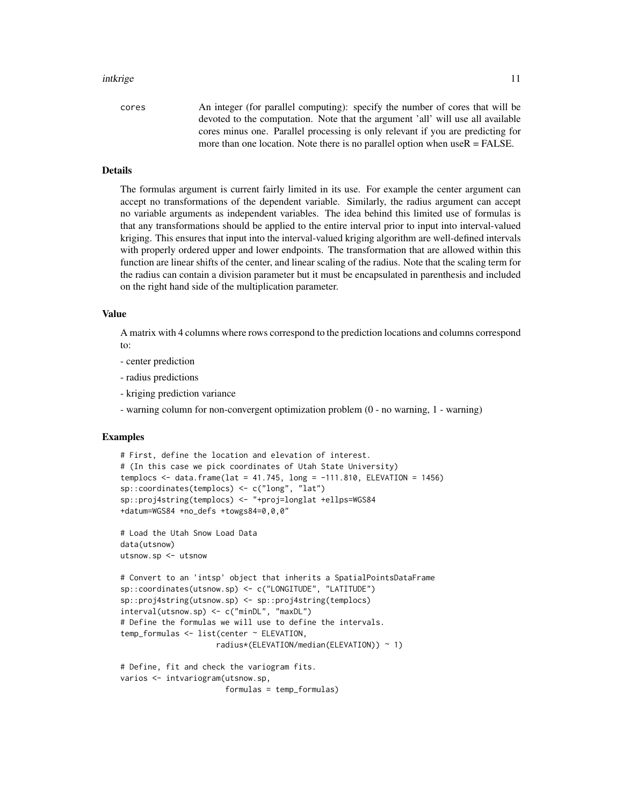#### intkrige the contract of the contract of the contract of the contract of the contract of the contract of the contract of the contract of the contract of the contract of the contract of the contract of the contract of the c

#### Details

The formulas argument is current fairly limited in its use. For example the center argument can accept no transformations of the dependent variable. Similarly, the radius argument can accept no variable arguments as independent variables. The idea behind this limited use of formulas is that any transformations should be applied to the entire interval prior to input into interval-valued kriging. This ensures that input into the interval-valued kriging algorithm are well-defined intervals with properly ordered upper and lower endpoints. The transformation that are allowed within this function are linear shifts of the center, and linear scaling of the radius. Note that the scaling term for the radius can contain a division parameter but it must be encapsulated in parenthesis and included on the right hand side of the multiplication parameter.

#### Value

A matrix with 4 columns where rows correspond to the prediction locations and columns correspond to:

- center prediction
- radius predictions
- kriging prediction variance
- warning column for non-convergent optimization problem (0 no warning, 1 warning)

# Examples

```
# First, define the location and elevation of interest.
# (In this case we pick coordinates of Utah State University)
templocs \leq data.frame(lat = 41.745, long = -111.810, ELEVATION = 1456)
sp::coordinates(templocs) <- c("long", "lat")
sp::proj4string(templocs) <- "+proj=longlat +ellps=WGS84
+datum=WGS84 +no_defs +towgs84=0,0,0"
# Load the Utah Snow Load Data
data(utsnow)
utsnow.sp <- utsnow
# Convert to an 'intsp' object that inherits a SpatialPointsDataFrame
sp::coordinates(utsnow.sp) <- c("LONGITUDE", "LATITUDE")
sp::proj4string(utsnow.sp) <- sp::proj4string(templocs)
interval(utsnow.sp) <- c("minDL", "maxDL")
# Define the formulas we will use to define the intervals.
temp_formulas <- list(center ~ ELEVATION,
                     radius*(ELEVATION/median(ELEVATION)) ~ 1)
# Define, fit and check the variogram fits.
varios <- intvariogram(utsnow.sp,
                       formulas = temp_formulas)
```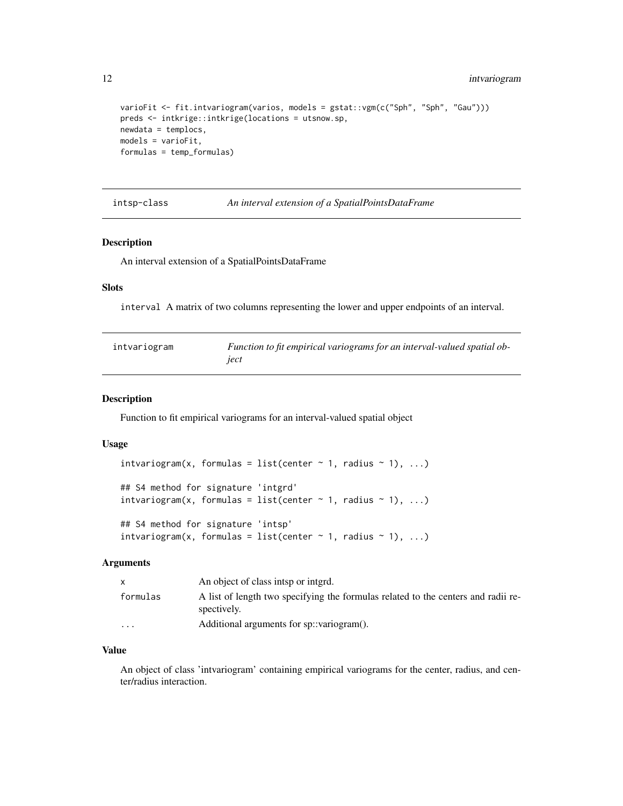```
varioFit <- fit.intvariogram(varios, models = gstat::vgm(c("Sph", "Sph", "Gau")))
preds <- intkrige::intkrige(locations = utsnow.sp,
newdata = templocs,
models = varioFit,
formulas = temp_formulas)
```
intsp-class *An interval extension of a SpatialPointsDataFrame*

# Description

An interval extension of a SpatialPointsDataFrame

# Slots

interval A matrix of two columns representing the lower and upper endpoints of an interval.

<span id="page-11-1"></span>

| intvariogram | Function to fit empirical variograms for an interval-valued spatial ob- |
|--------------|-------------------------------------------------------------------------|
|              | iect                                                                    |

### Description

Function to fit empirical variograms for an interval-valued spatial object

#### Usage

```
intvariogram(x, formulas = list(center \sim 1, radius \sim 1), ...)
## S4 method for signature 'intgrd'
intvariogram(x, formulas = list(center \sim 1, radius \sim 1), ...)
## S4 method for signature 'intsp'
```

```
intvariogram(x, formulas = list(center \sim 1, radius \sim 1), ...)
```
# Arguments

| X        | An object of class intsp or interd.                                                              |
|----------|--------------------------------------------------------------------------------------------------|
| formulas | A list of length two specifying the formulas related to the centers and radii re-<br>spectively. |
| $\cdots$ | Additional arguments for sp::variogram().                                                        |

# Value

An object of class 'intvariogram' containing empirical variograms for the center, radius, and center/radius interaction.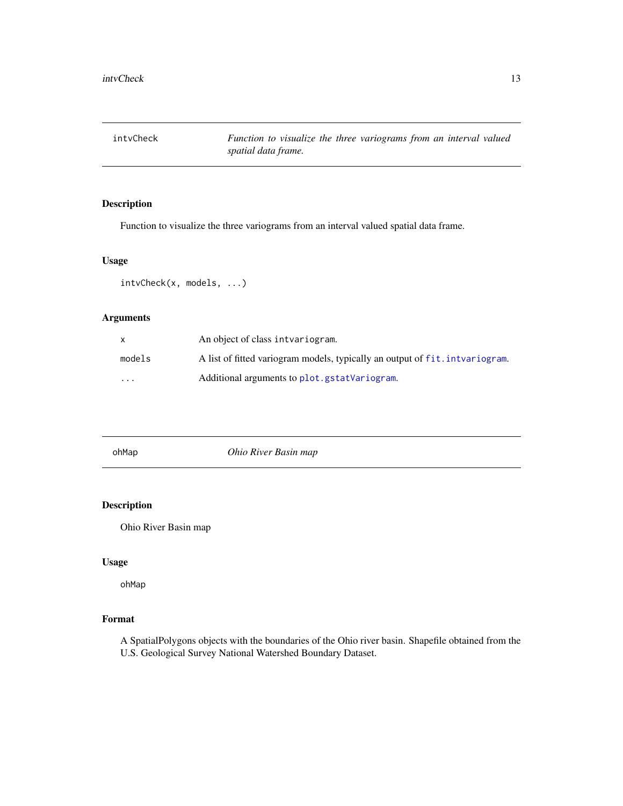<span id="page-12-1"></span><span id="page-12-0"></span>intvCheck *Function to visualize the three variograms from an interval valued spatial data frame.*

# Description

Function to visualize the three variograms from an interval valued spatial data frame.

#### Usage

intvCheck(x, models, ...)

# Arguments

|          | An object of class intvariogram.                                             |
|----------|------------------------------------------------------------------------------|
| models   | A list of fitted variogram models, typically an output of fit. intvariogram. |
| $\cdots$ | Additional arguments to plot.gstatVariogram.                                 |

<span id="page-12-2"></span>

| ohMap |
|-------|
|-------|

 $Ohio River$  Basin map

# Description

Ohio River Basin map

# Usage

ohMap

# Format

A SpatialPolygons objects with the boundaries of the Ohio river basin. Shapefile obtained from the U.S. Geological Survey National Watershed Boundary Dataset.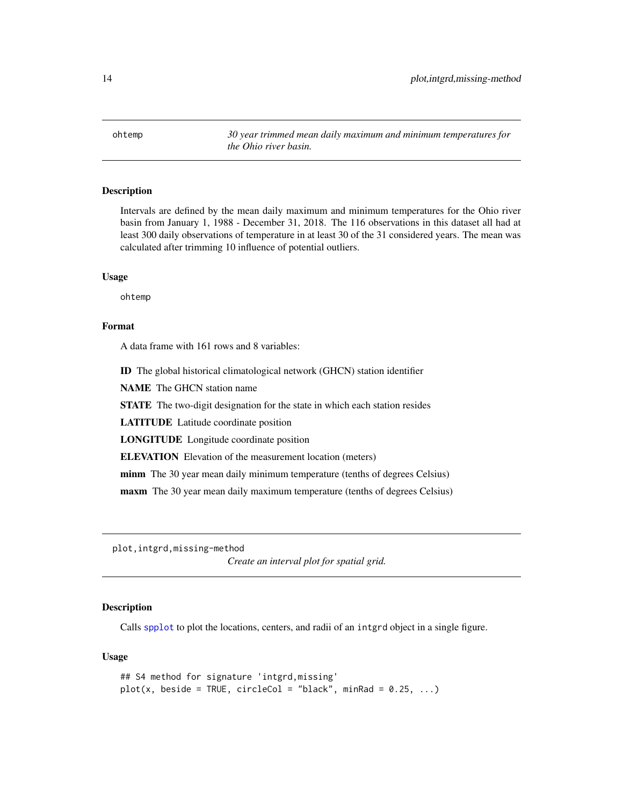<span id="page-13-1"></span><span id="page-13-0"></span>ohtemp *30 year trimmed mean daily maximum and minimum temperatures for the Ohio river basin.*

# Description

Intervals are defined by the mean daily maximum and minimum temperatures for the Ohio river basin from January 1, 1988 - December 31, 2018. The 116 observations in this dataset all had at least 300 daily observations of temperature in at least 30 of the 31 considered years. The mean was calculated after trimming 10 influence of potential outliers.

#### Usage

ohtemp

# Format

A data frame with 161 rows and 8 variables:

ID The global historical climatological network (GHCN) station identifier

NAME The GHCN station name

STATE The two-digit designation for the state in which each station resides

LATITUDE Latitude coordinate position

LONGITUDE Longitude coordinate position

ELEVATION Elevation of the measurement location (meters)

minm The 30 year mean daily minimum temperature (tenths of degrees Celsius)

maxm The 30 year mean daily maximum temperature (tenths of degrees Celsius)

plot,intgrd,missing-method

*Create an interval plot for spatial grid.*

#### **Description**

Calls [spplot](#page-0-0) to plot the locations, centers, and radii of an intgrd object in a single figure.

```
## S4 method for signature 'intgrd,missing'
plot(x, beside = TRUE, circleCol = "black", minRad = 0.25, ...)
```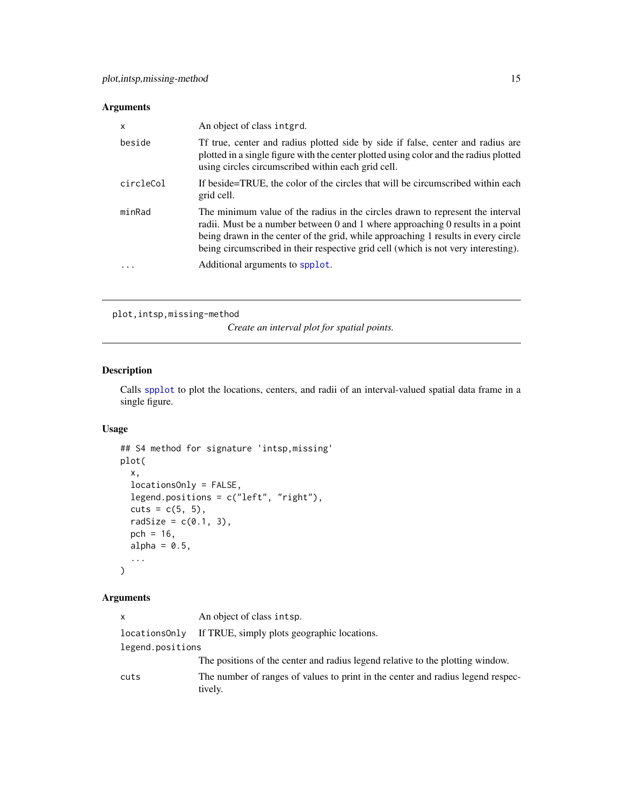<span id="page-14-0"></span>

| X         | An object of class interd.                                                                                                                                                                                                                                                                                                                   |
|-----------|----------------------------------------------------------------------------------------------------------------------------------------------------------------------------------------------------------------------------------------------------------------------------------------------------------------------------------------------|
| beside    | Tf true, center and radius plotted side by side if false, center and radius are<br>plotted in a single figure with the center plotted using color and the radius plotted<br>using circles circumscribed within each grid cell.                                                                                                               |
| circleCol | If beside=TRUE, the color of the circles that will be circumscribed within each<br>grid cell.                                                                                                                                                                                                                                                |
| minRad    | The minimum value of the radius in the circles drawn to represent the interval<br>radii. Must be a number between 0 and 1 where approaching 0 results in a point<br>being drawn in the center of the grid, while approaching 1 results in every circle<br>being circumscribed in their respective grid cell (which is not very interesting). |
| .         | Additional arguments to spplot.                                                                                                                                                                                                                                                                                                              |

```
plot,intsp,missing-method
```
*Create an interval plot for spatial points.*

# Description

Calls [spplot](#page-0-0) to plot the locations, centers, and radii of an interval-valued spatial data frame in a single figure.

#### Usage

```
## S4 method for signature 'intsp,missing'
plot(
 x,
  locationsOnly = FALSE,
 legend.positions = c("left", "right"),
 cuts = c(5, 5),radSize = c(0.1, 3),
 pch = 16,
  alpha = 0.5,
  ...
)
```

| X.               | An object of class intsp.                                                                  |  |
|------------------|--------------------------------------------------------------------------------------------|--|
|                  | locations Only If TRUE, simply plots geographic locations.                                 |  |
| legend.positions |                                                                                            |  |
|                  | The positions of the center and radius legend relative to the plotting window.             |  |
| cuts             | The number of ranges of values to print in the center and radius legend respec-<br>tively. |  |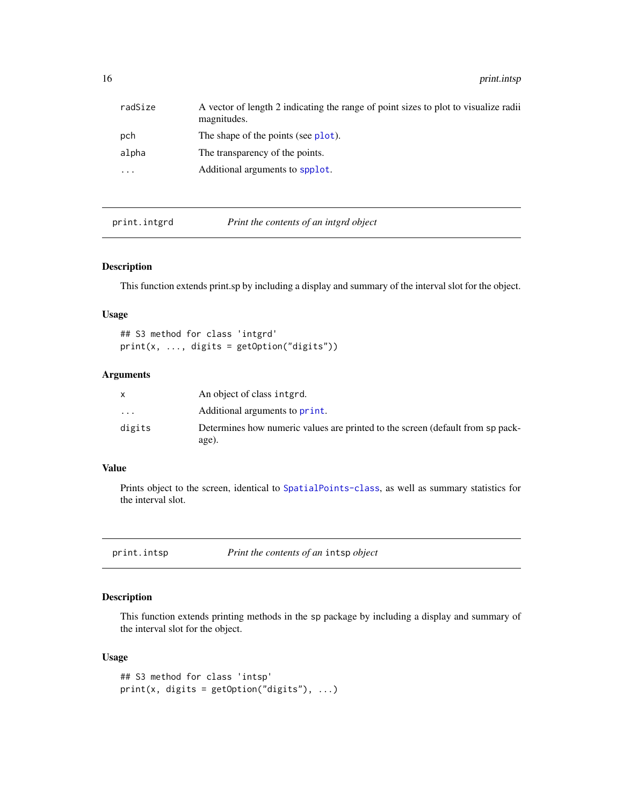<span id="page-15-0"></span>16 print.intsp print.intsp

| radSize  | A vector of length 2 indicating the range of point sizes to plot to visualize radii<br>magnitudes. |
|----------|----------------------------------------------------------------------------------------------------|
| pch      | The shape of the points (see plot).                                                                |
| alpha    | The transparency of the points.                                                                    |
| $\cdots$ | Additional arguments to spplot.                                                                    |

print.intgrd *Print the contents of an intgrd object*

# Description

This function extends print.sp by including a display and summary of the interval slot for the object.

# Usage

## S3 method for class 'intgrd' print(x, ..., digits = getOption("digits"))

# Arguments

|                         | An object of class interd.                                                              |
|-------------------------|-----------------------------------------------------------------------------------------|
| $\cdot$ $\cdot$ $\cdot$ | Additional arguments to print.                                                          |
| digits                  | Determines how numeric values are printed to the screen (default from sp pack-<br>age). |

# Value

Prints object to the screen, identical to [SpatialPoints-class](#page-0-0), as well as summary statistics for the interval slot.

<span id="page-15-1"></span>print.intsp *Print the contents of an* intsp *object*

# Description

This function extends printing methods in the sp package by including a display and summary of the interval slot for the object.

```
## S3 method for class 'intsp'
print(x, \text{ digits} = getOption("digits"), ...)
```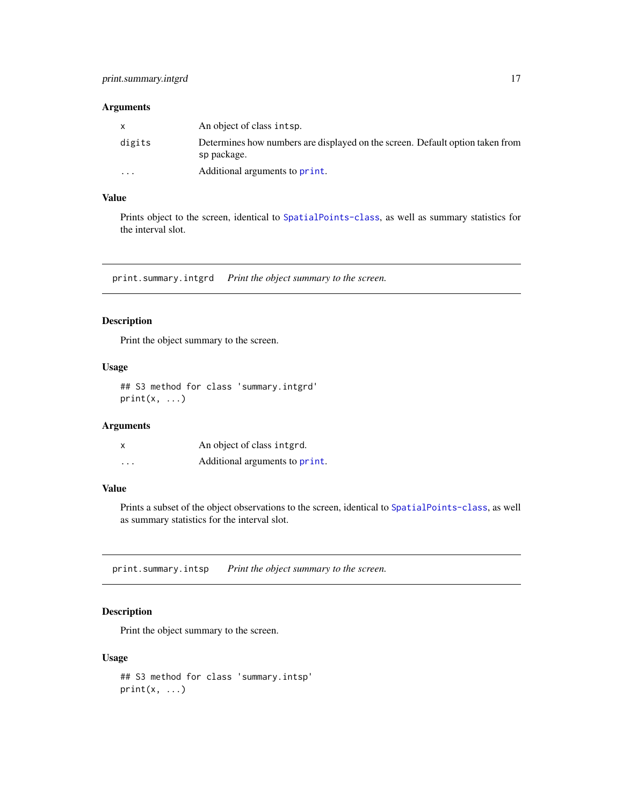<span id="page-16-0"></span>

|          | An object of class intsp.                                                                    |
|----------|----------------------------------------------------------------------------------------------|
| digits   | Determines how numbers are displayed on the screen. Default option taken from<br>sp package. |
| $\cdots$ | Additional arguments to print.                                                               |

# Value

Prints object to the screen, identical to [SpatialPoints-class](#page-0-0), as well as summary statistics for the interval slot.

print.summary.intgrd *Print the object summary to the screen.*

# Description

Print the object summary to the screen.

#### Usage

## S3 method for class 'summary.intgrd'  $print(x, \ldots)$ 

# Arguments

| x       | An object of class integrd.    |
|---------|--------------------------------|
| $\cdot$ | Additional arguments to print. |

# Value

Prints a subset of the object observations to the screen, identical to [SpatialPoints-class](#page-0-0), as well as summary statistics for the interval slot.

print.summary.intsp *Print the object summary to the screen.*

# Description

Print the object summary to the screen.

```
## S3 method for class 'summary.intsp'
print(x, \ldots)
```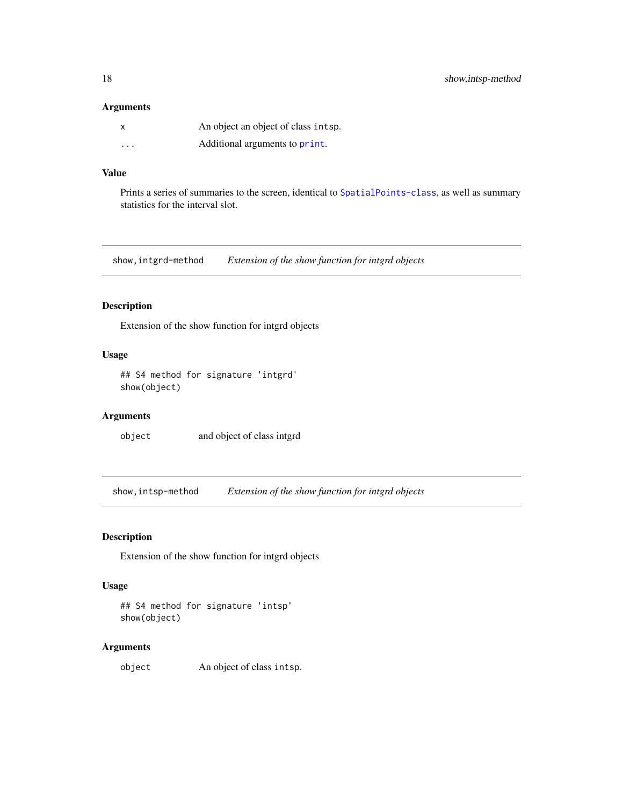<span id="page-17-0"></span>

|          | An object an object of class intsp. |
|----------|-------------------------------------|
| $\cdots$ | Additional arguments to print.      |

# Value

Prints a series of summaries to the screen, identical to [SpatialPoints-class](#page-0-0), as well as summary statistics for the interval slot.

show,intgrd-method *Extension of the show function for intgrd objects*

# Description

Extension of the show function for intgrd objects

# Usage

## S4 method for signature 'intgrd' show(object)

# Arguments

object and object of class intgrd

show,intsp-method *Extension of the show function for intgrd objects*

# Description

Extension of the show function for intgrd objects

#### Usage

```
## S4 method for signature 'intsp'
show(object)
```
#### Arguments

object An object of class intsp.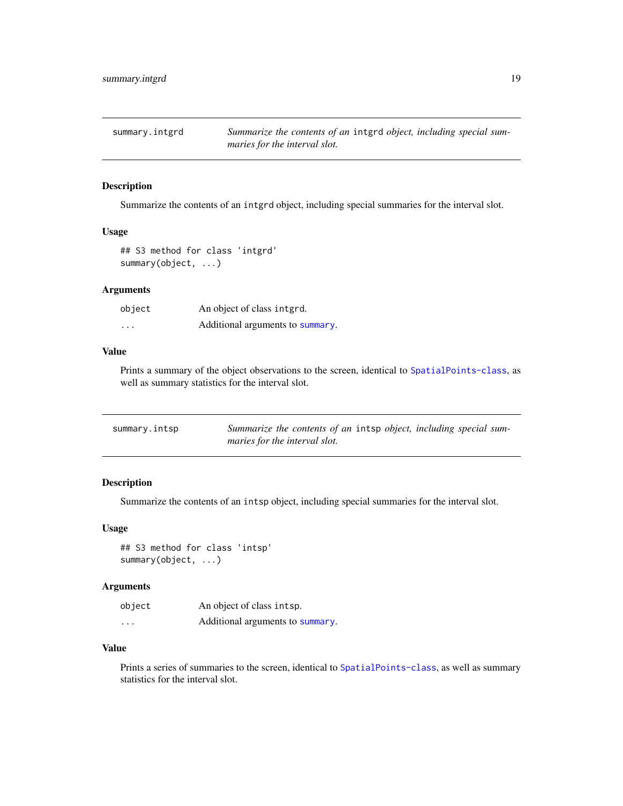<span id="page-18-0"></span>

Summarize the contents of an intgrd object, including special summaries for the interval slot.

#### Usage

```
## S3 method for class 'intgrd'
summary(object, ...)
```
#### Arguments

| object   | An object of class interd.       |
|----------|----------------------------------|
| $\cdots$ | Additional arguments to summary. |

#### Value

Prints a summary of the object observations to the screen, identical to [SpatialPoints-class](#page-0-0), as well as summary statistics for the interval slot.

<span id="page-18-1"></span>

| summary.intsp | Summarize the contents of an intsp object, including special sum- |
|---------------|-------------------------------------------------------------------|
|               | maries for the interval slot.                                     |

# Description

Summarize the contents of an intsp object, including special summaries for the interval slot.

#### Usage

```
## S3 method for class 'intsp'
summary(object, ...)
```
# Arguments

| object   | An object of class intsp.        |
|----------|----------------------------------|
| $\cdots$ | Additional arguments to summary. |

# Value

Prints a series of summaries to the screen, identical to [SpatialPoints-class](#page-0-0), as well as summary statistics for the interval slot.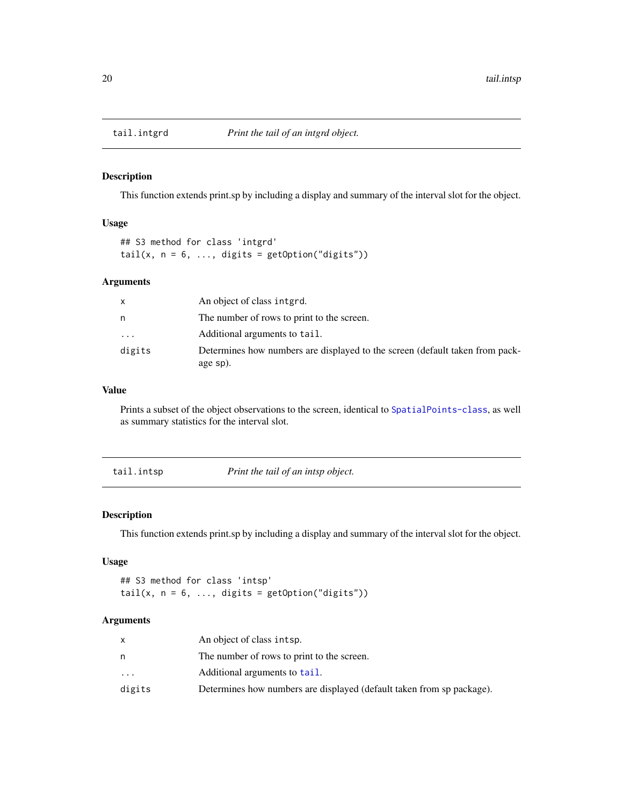<span id="page-19-0"></span>

This function extends print.sp by including a display and summary of the interval slot for the object.

# Usage

## S3 method for class 'intgrd' tail(x,  $n = 6$ , ..., digits = getOption("digits"))

#### Arguments

| X        | An object of class interd.                                                               |
|----------|------------------------------------------------------------------------------------------|
| n        | The number of rows to print to the screen.                                               |
| $\cdots$ | Additional arguments to tail.                                                            |
| digits   | Determines how numbers are displayed to the screen (default taken from pack-<br>age sp). |

# Value

Prints a subset of the object observations to the screen, identical to [SpatialPoints-class](#page-0-0), as well as summary statistics for the interval slot.

tail.intsp *Print the tail of an intsp object.*

# Description

This function extends print.sp by including a display and summary of the interval slot for the object.

#### Usage

## S3 method for class 'intsp' tail(x,  $n = 6$ , ..., digits = getOption("digits"))

|           | An object of class intsp.                                             |
|-----------|-----------------------------------------------------------------------|
| n         | The number of rows to print to the screen.                            |
| $\ddotsc$ | Additional arguments to tail.                                         |
| digits    | Determines how numbers are displayed (default taken from sp package). |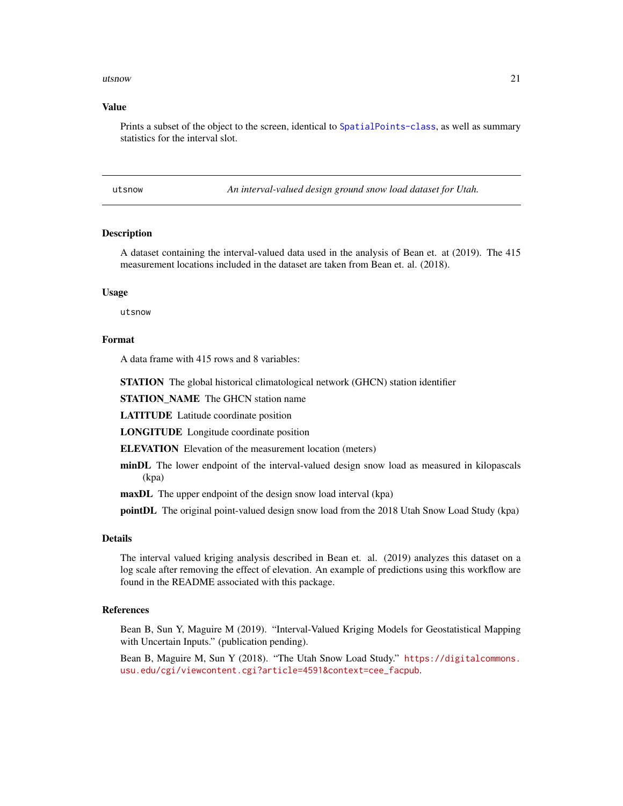#### <span id="page-20-0"></span>utsnow 21

#### Value

Prints a subset of the object to the screen, identical to [SpatialPoints-class](#page-0-0), as well as summary statistics for the interval slot.

<span id="page-20-1"></span>utsnow *An interval-valued design ground snow load dataset for Utah.*

# **Description**

A dataset containing the interval-valued data used in the analysis of Bean et. at (2019). The 415 measurement locations included in the dataset are taken from Bean et. al. (2018).

#### Usage

utsnow

#### Format

A data frame with 415 rows and 8 variables:

STATION The global historical climatological network (GHCN) station identifier

STATION\_NAME The GHCN station name

LATITUDE Latitude coordinate position

LONGITUDE Longitude coordinate position

ELEVATION Elevation of the measurement location (meters)

- minDL The lower endpoint of the interval-valued design snow load as measured in kilopascals (kpa)
- maxDL The upper endpoint of the design snow load interval (kpa)

pointDL The original point-valued design snow load from the 2018 Utah Snow Load Study (kpa)

# Details

The interval valued kriging analysis described in Bean et. al. (2019) analyzes this dataset on a log scale after removing the effect of elevation. An example of predictions using this workflow are found in the README associated with this package.

# References

Bean B, Sun Y, Maguire M (2019). "Interval-Valued Kriging Models for Geostatistical Mapping with Uncertain Inputs." (publication pending).

Bean B, Maguire M, Sun Y (2018). "The Utah Snow Load Study." [https://digitalcommons.](https://digitalcommons.usu.edu/cgi/viewcontent.cgi?article=4591&context=cee_facpub) [usu.edu/cgi/viewcontent.cgi?article=4591&context=cee\\_facpub](https://digitalcommons.usu.edu/cgi/viewcontent.cgi?article=4591&context=cee_facpub).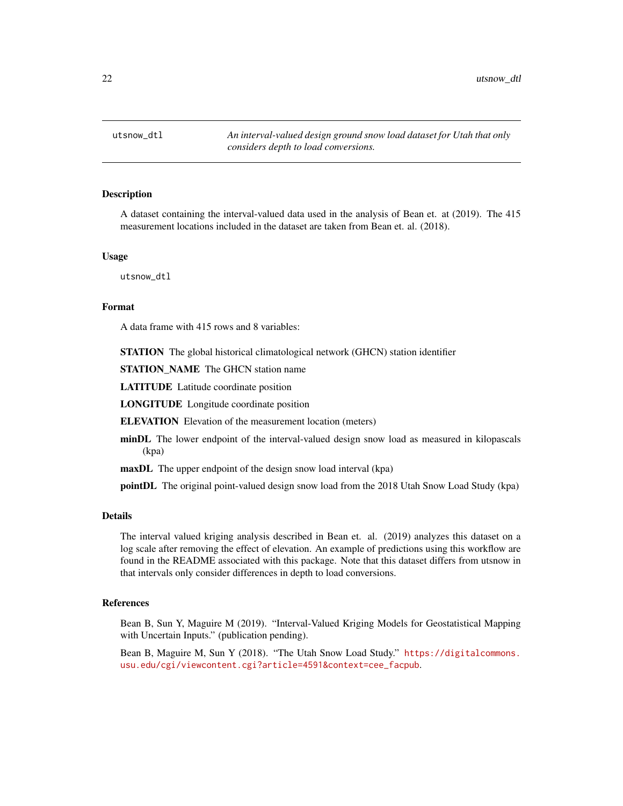<span id="page-21-0"></span>utsnow\_dtl *An interval-valued design ground snow load dataset for Utah that only considers depth to load conversions.*

# **Description**

A dataset containing the interval-valued data used in the analysis of Bean et. at (2019). The 415 measurement locations included in the dataset are taken from Bean et. al. (2018).

#### Usage

utsnow\_dtl

#### Format

A data frame with 415 rows and 8 variables:

STATION The global historical climatological network (GHCN) station identifier

STATION\_NAME The GHCN station name

LATITUDE Latitude coordinate position

LONGITUDE Longitude coordinate position

ELEVATION Elevation of the measurement location (meters)

minDL The lower endpoint of the interval-valued design snow load as measured in kilopascals (kpa)

maxDL The upper endpoint of the design snow load interval (kpa)

pointDL The original point-valued design snow load from the 2018 Utah Snow Load Study (kpa)

# Details

The interval valued kriging analysis described in Bean et. al. (2019) analyzes this dataset on a log scale after removing the effect of elevation. An example of predictions using this workflow are found in the README associated with this package. Note that this dataset differs from utsnow in that intervals only consider differences in depth to load conversions.

# References

Bean B, Sun Y, Maguire M (2019). "Interval-Valued Kriging Models for Geostatistical Mapping with Uncertain Inputs." (publication pending).

Bean B, Maguire M, Sun Y (2018). "The Utah Snow Load Study." [https://digitalcommons.](https://digitalcommons.usu.edu/cgi/viewcontent.cgi?article=4591&context=cee_facpub) [usu.edu/cgi/viewcontent.cgi?article=4591&context=cee\\_facpub](https://digitalcommons.usu.edu/cgi/viewcontent.cgi?article=4591&context=cee_facpub).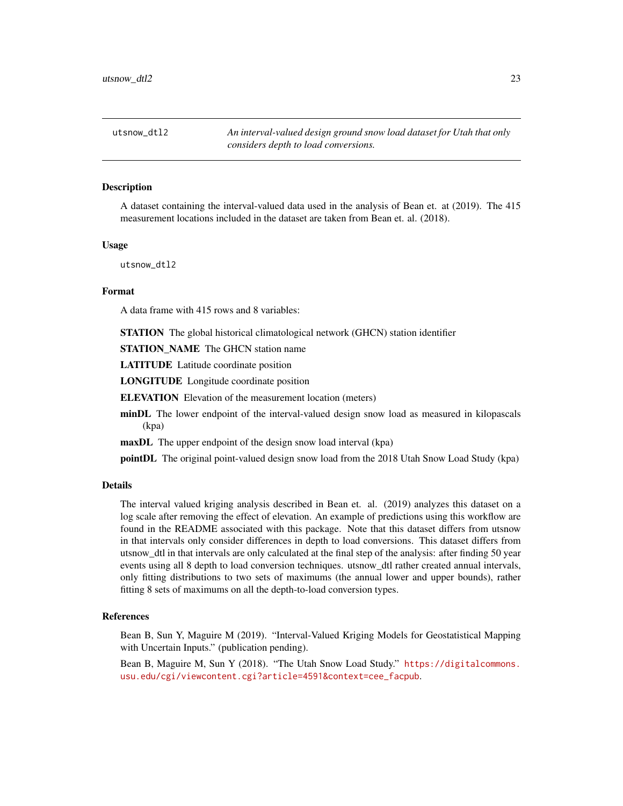<span id="page-22-0"></span>utsnow\_dtl2 *An interval-valued design ground snow load dataset for Utah that only considers depth to load conversions.*

#### Description

A dataset containing the interval-valued data used in the analysis of Bean et. at (2019). The 415 measurement locations included in the dataset are taken from Bean et. al. (2018).

# Usage

utsnow\_dtl2

# Format

A data frame with 415 rows and 8 variables:

STATION The global historical climatological network (GHCN) station identifier

STATION\_NAME The GHCN station name

LATITUDE Latitude coordinate position

LONGITUDE Longitude coordinate position

ELEVATION Elevation of the measurement location (meters)

minDL The lower endpoint of the interval-valued design snow load as measured in kilopascals (kpa)

maxDL The upper endpoint of the design snow load interval (kpa)

pointDL The original point-valued design snow load from the 2018 Utah Snow Load Study (kpa)

#### Details

The interval valued kriging analysis described in Bean et. al. (2019) analyzes this dataset on a log scale after removing the effect of elevation. An example of predictions using this workflow are found in the README associated with this package. Note that this dataset differs from utsnow in that intervals only consider differences in depth to load conversions. This dataset differs from utsnow\_dtl in that intervals are only calculated at the final step of the analysis: after finding 50 year events using all 8 depth to load conversion techniques. utsnow\_dtl rather created annual intervals, only fitting distributions to two sets of maximums (the annual lower and upper bounds), rather fitting 8 sets of maximums on all the depth-to-load conversion types.

#### References

Bean B, Sun Y, Maguire M (2019). "Interval-Valued Kriging Models for Geostatistical Mapping with Uncertain Inputs." (publication pending).

Bean B, Maguire M, Sun Y (2018). "The Utah Snow Load Study." [https://digitalcommons.](https://digitalcommons.usu.edu/cgi/viewcontent.cgi?article=4591&context=cee_facpub) [usu.edu/cgi/viewcontent.cgi?article=4591&context=cee\\_facpub](https://digitalcommons.usu.edu/cgi/viewcontent.cgi?article=4591&context=cee_facpub).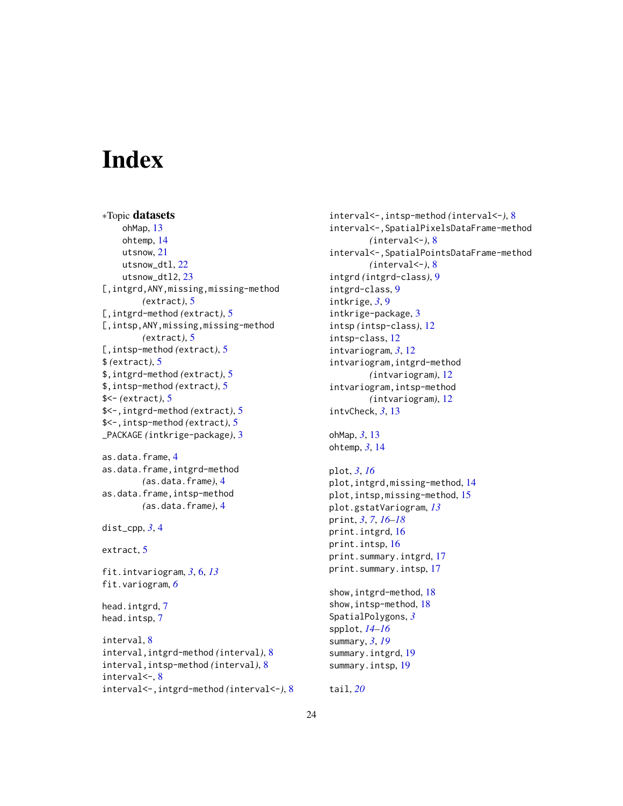# <span id="page-23-0"></span>**Index**

∗Topic datasets ohMap, [13](#page-12-0) ohtemp, [14](#page-13-0) utsnow, [21](#page-20-0) utsnow\_dtl, [22](#page-21-0) utsnow\_dtl2, [23](#page-22-0) [,intgrd,ANY,missing,missing-method *(*extract*)*, [5](#page-4-0) [,intgrd-method *(*extract*)*, [5](#page-4-0) [,intsp,ANY,missing,missing-method *(*extract*)*, [5](#page-4-0) [,intsp-method *(*extract*)*, [5](#page-4-0) \$ *(*extract*)*, [5](#page-4-0) \$,intgrd-method *(*extract*)*, [5](#page-4-0) \$,intsp-method *(*extract*)*, [5](#page-4-0) \$<- *(*extract*)*, [5](#page-4-0) \$<-,intgrd-method *(*extract*)*, [5](#page-4-0) \$<-,intsp-method *(*extract*)*, [5](#page-4-0) \_PACKAGE *(*intkrige-package*)*, [3](#page-2-0)

```
as.data.frame, 4
as.data.frame,intgrd-method
        (as.data.frame), 4
as.data.frame,intsp-method
        (as.data.frame), 4
```

```
dist_cpp, 3, 4
```

```
extract, 5
```
fit.intvariogram, *[3](#page-2-0)*, [6,](#page-5-0) *[13](#page-12-0)* fit.variogram, *[6](#page-5-0)*

head.intgrd, [7](#page-6-0) head.intsp, [7](#page-6-0)

```
interval, 8
interval,intgrd-method (interval), 8
interval,intsp-method (interval), 8
interval<-, 8
interval<-,intgrd-method (interval<-), 8
```
interval<-,intsp-method *(*interval<-*)*, [8](#page-7-0) interval<-,SpatialPixelsDataFrame-method *(*interval<-*)*, [8](#page-7-0) interval<-,SpatialPointsDataFrame-method *(*interval<-*)*, [8](#page-7-0) intgrd *(*intgrd-class*)*, [9](#page-8-0) intgrd-class, [9](#page-8-0) intkrige, *[3](#page-2-0)*, [9](#page-8-0) intkrige-package, [3](#page-2-0) intsp *(*intsp-class*)*, [12](#page-11-0) intsp-class, [12](#page-11-0) intvariogram, *[3](#page-2-0)*, [12](#page-11-0) intvariogram,intgrd-method *(*intvariogram*)*, [12](#page-11-0) intvariogram,intsp-method *(*intvariogram*)*, [12](#page-11-0) intvCheck, *[3](#page-2-0)*, [13](#page-12-0)

```
ohMap, 3, 13
ohtemp, 3, 14
```
# plot, *[3](#page-2-0)*, *[16](#page-15-0)* plot,intgrd,missing-method, [14](#page-13-0) plot,intsp,missing-method, [15](#page-14-0) plot.gstatVariogram, *[13](#page-12-0)* print, *[3](#page-2-0)*, *[7](#page-6-0)*, *[16](#page-15-0)[–18](#page-17-0)* print.intgrd, [16](#page-15-0) print.intsp, [16](#page-15-0) print.summary.intgrd, [17](#page-16-0) print.summary.intsp, [17](#page-16-0)

```
show,intgrd-method, 18
show,intsp-method, 18
SpatialPolygons, 3
spplot, 14–16
summary, 3, 19
summary.intgrd, 19
summary.intsp, 19
```
tail, *[20](#page-19-0)*